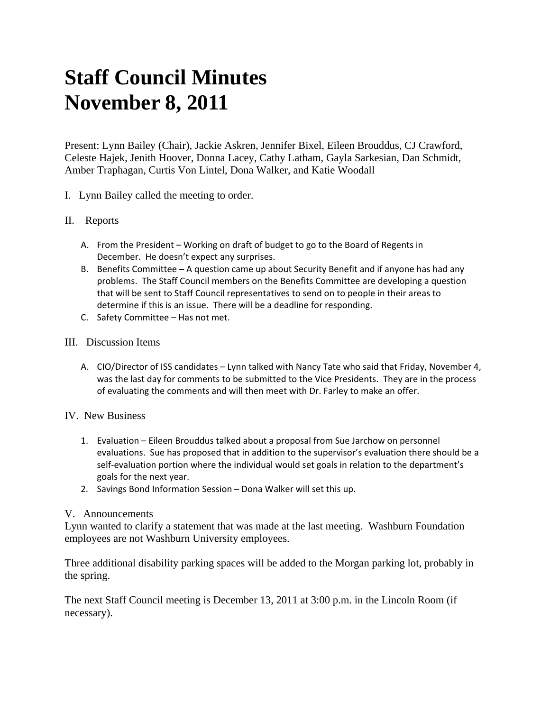# **Staff Council Minutes November 8, 2011**

Present: Lynn Bailey (Chair), Jackie Askren, Jennifer Bixel, Eileen Brouddus, CJ Crawford, Celeste Hajek, Jenith Hoover, Donna Lacey, Cathy Latham, Gayla Sarkesian, Dan Schmidt, Amber Traphagan, Curtis Von Lintel, Dona Walker, and Katie Woodall

I. Lynn Bailey called the meeting to order.

# II. Reports

- A. From the President Working on draft of budget to go to the Board of Regents in December. He doesn't expect any surprises.
- B. Benefits Committee A question came up about Security Benefit and if anyone has had any problems. The Staff Council members on the Benefits Committee are developing a question that will be sent to Staff Council representatives to send on to people in their areas to determine if this is an issue. There will be a deadline for responding.
- C. Safety Committee Has not met.

#### III. Discussion Items

A. CIO/Director of ISS candidates – Lynn talked with Nancy Tate who said that Friday, November 4, was the last day for comments to be submitted to the Vice Presidents. They are in the process of evaluating the comments and will then meet with Dr. Farley to make an offer.

## IV. New Business

- 1. Evaluation Eileen Brouddus talked about a proposal from Sue Jarchow on personnel evaluations. Sue has proposed that in addition to the supervisor's evaluation there should be a self-evaluation portion where the individual would set goals in relation to the department's goals for the next year.
- 2. Savings Bond Information Session Dona Walker will set this up.

## V. Announcements

Lynn wanted to clarify a statement that was made at the last meeting. Washburn Foundation employees are not Washburn University employees.

Three additional disability parking spaces will be added to the Morgan parking lot, probably in the spring.

The next Staff Council meeting is December 13, 2011 at 3:00 p.m. in the Lincoln Room (if necessary).